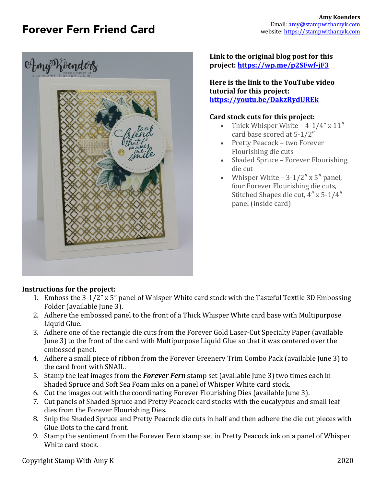# Forever Fern Friend Card



#### **Link to the original blog post for this project: https://wp.me/p2SFwf-jF3**

**Here is the link to the YouTube video tutorial for this project: https://youtu.be/DakzRydUREk**

#### **Card stock cuts for this project:**

- Thick Whisper White  $-4-1/4$ " x  $11$ " card base scored at 5-1/2"
- Pretty Peacock two Forever Flourishing die cuts
- Shaded Spruce Forever Flourishing die cut
- Whisper White  $-3-1/2'' \times 5''$  panel, four Forever Flourishing die cuts, Stitched Shapes die cut,  $4'' \times 5-1/4''$ panel (inside card)

## **Instructions for the project:**

- 1. Emboss the 3-1/2" x 5" panel of Whisper White card stock with the Tasteful Textile 3D Embossing Folder (available June 3).
- 2. Adhere the embossed panel to the front of a Thick Whisper White card base with Multipurpose Liquid Glue.
- 3. Adhere one of the rectangle die cuts from the Forever Gold Laser-Cut Specialty Paper (available June 3) to the front of the card with Multipurpose Liquid Glue so that it was centered over the embossed panel.
- 4. Adhere a small piece of ribbon from the Forever Greenery Trim Combo Pack (available June 3) to the card front with SNAIL.
- 5. Stamp the leaf images from the **Forever Fern** stamp set (available June 3) two times each in Shaded Spruce and Soft Sea Foam inks on a panel of Whisper White card stock.
- 6. Cut the images out with the coordinating Forever Flourishing Dies (available June 3).
- 7. Cut panels of Shaded Spruce and Pretty Peacock card stocks with the eucalyptus and small leaf dies from the Forever Flourishing Dies.
- 8. Snip the Shaded Spruce and Pretty Peacock die cuts in half and then adhere the die cut pieces with Glue Dots to the card front.
- 9. Stamp the sentiment from the Forever Fern stamp set in Pretty Peacock ink on a panel of Whisper White card stock.

Copyright Stamp With Amy K 2020